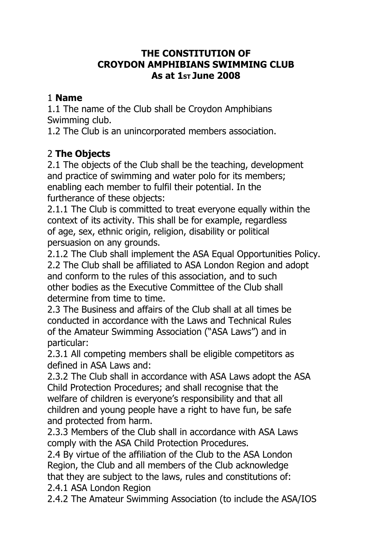#### **THE CONSTITUTION OF CROYDON AMPHIBIANS SWIMMING CLUB As at 1ST June 2008**

#### 1 **Name**

1.1 The name of the Club shall be Croydon Amphibians Swimming club.

1.2 The Club is an unincorporated members association.

# 2 **The Objects**

2.1 The objects of the Club shall be the teaching, development and practice of swimming and water polo for its members; enabling each member to fulfil their potential. In the furtherance of these objects:

2.1.1 The Club is committed to treat everyone equally within the context of its activity. This shall be for example, regardless of age, sex, ethnic origin, religion, disability or political persuasion on any grounds.

2.1.2 The Club shall implement the ASA Equal Opportunities Policy. 2.2 The Club shall be affiliated to ASA London Region and adopt and conform to the rules of this association, and to such other bodies as the Executive Committee of the Club shall determine from time to time.

2.3 The Business and affairs of the Club shall at all times be conducted in accordance with the Laws and Technical Rules of the Amateur Swimming Association ("ASA Laws") and in particular:

2.3.1 All competing members shall be eligible competitors as defined in ASA Laws and:

2.3.2 The Club shall in accordance with ASA Laws adopt the ASA Child Protection Procedures; and shall recognise that the welfare of children is everyone's responsibility and that all children and young people have a right to have fun, be safe and protected from harm.

2.3.3 Members of the Club shall in accordance with ASA Laws comply with the ASA Child Protection Procedures.

2.4 By virtue of the affiliation of the Club to the ASA London Region, the Club and all members of the Club acknowledge that they are subject to the laws, rules and constitutions of: 2.4.1 ASA London Region

2.4.2 The Amateur Swimming Association (to include the ASA/IOS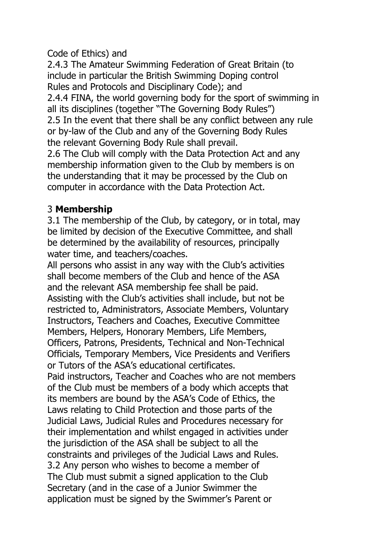Code of Ethics) and

2.4.3 The Amateur Swimming Federation of Great Britain (to include in particular the British Swimming Doping control Rules and Protocols and Disciplinary Code); and 2.4.4 FINA, the world governing body for the sport of swimming in all its disciplines (together "The Governing Body Rules") 2.5 In the event that there shall be any conflict between any rule or by-law of the Club and any of the Governing Body Rules the relevant Governing Body Rule shall prevail. 2.6 The Club will comply with the Data Protection Act and any membership information given to the Club by members is on the understanding that it may be processed by the Club on computer in accordance with the Data Protection Act.

## 3 **Membership**

3.1 The membership of the Club, by category, or in total, may be limited by decision of the Executive Committee, and shall be determined by the availability of resources, principally water time, and teachers/coaches.

All persons who assist in any way with the Club's activities shall become members of the Club and hence of the ASA and the relevant ASA membership fee shall be paid. Assisting with the Club's activities shall include, but not be restricted to, Administrators, Associate Members, Voluntary Instructors, Teachers and Coaches, Executive Committee Members, Helpers, Honorary Members, Life Members, Officers, Patrons, Presidents, Technical and Non-Technical Officials, Temporary Members, Vice Presidents and Verifiers or Tutors of the ASA's educational certificates.

Paid instructors, Teacher and Coaches who are not members of the Club must be members of a body which accepts that its members are bound by the ASA's Code of Ethics, the Laws relating to Child Protection and those parts of the Judicial Laws, Judicial Rules and Procedures necessary for their implementation and whilst engaged in activities under the jurisdiction of the ASA shall be subject to all the constraints and privileges of the Judicial Laws and Rules. 3.2 Any person who wishes to become a member of The Club must submit a signed application to the Club Secretary (and in the case of a Junior Swimmer the application must be signed by the Swimmer's Parent or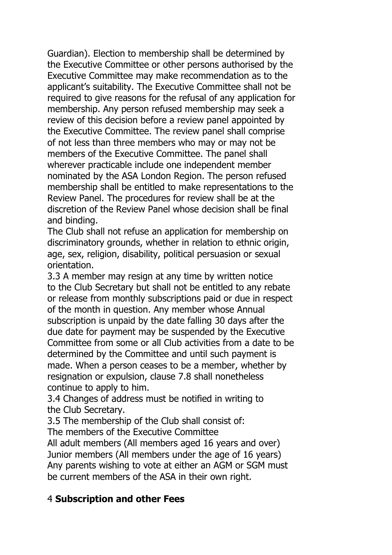Guardian). Election to membership shall be determined by the Executive Committee or other persons authorised by the Executive Committee may make recommendation as to the applicant's suitability. The Executive Committee shall not be required to give reasons for the refusal of any application for membership. Any person refused membership may seek a review of this decision before a review panel appointed by the Executive Committee. The review panel shall comprise of not less than three members who may or may not be members of the Executive Committee. The panel shall wherever practicable include one independent member nominated by the ASA London Region. The person refused membership shall be entitled to make representations to the Review Panel. The procedures for review shall be at the discretion of the Review Panel whose decision shall be final and binding.

The Club shall not refuse an application for membership on discriminatory grounds, whether in relation to ethnic origin, age, sex, religion, disability, political persuasion or sexual orientation.

3.3 A member may resign at any time by written notice to the Club Secretary but shall not be entitled to any rebate or release from monthly subscriptions paid or due in respect of the month in question. Any member whose Annual subscription is unpaid by the date falling 30 days after the due date for payment may be suspended by the Executive Committee from some or all Club activities from a date to be determined by the Committee and until such payment is made. When a person ceases to be a member, whether by resignation or expulsion, clause 7.8 shall nonetheless continue to apply to him.

3.4 Changes of address must be notified in writing to the Club Secretary.

3.5 The membership of the Club shall consist of: The members of the Executive Committee

All adult members (All members aged 16 years and over) Junior members (All members under the age of 16 years) Any parents wishing to vote at either an AGM or SGM must be current members of the ASA in their own right.

#### 4 **Subscription and other Fees**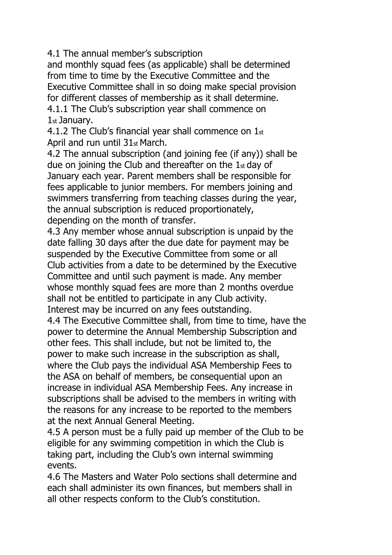4.1 The annual member's subscription

and monthly squad fees (as applicable) shall be determined from time to time by the Executive Committee and the Executive Committee shall in so doing make special provision for different classes of membership as it shall determine. 4.1.1 The Club's subscription year shall commence on

1st January.

4.1.2 The Club's financial year shall commence on  $1<sub>st</sub>$ April and run until 31st March.

4.2 The annual subscription (and joining fee (if any)) shall be due on joining the Club and thereafter on the  $1<sub>st</sub>$  day of January each year. Parent members shall be responsible for fees applicable to junior members. For members joining and swimmers transferring from teaching classes during the year, the annual subscription is reduced proportionately, depending on the month of transfer.

4.3 Any member whose annual subscription is unpaid by the date falling 30 days after the due date for payment may be suspended by the Executive Committee from some or all Club activities from a date to be determined by the Executive Committee and until such payment is made. Any member whose monthly squad fees are more than 2 months overdue shall not be entitled to participate in any Club activity. Interest may be incurred on any fees outstanding.

4.4 The Executive Committee shall, from time to time, have the power to determine the Annual Membership Subscription and other fees. This shall include, but not be limited to, the power to make such increase in the subscription as shall, where the Club pays the individual ASA Membership Fees to the ASA on behalf of members, be consequential upon an increase in individual ASA Membership Fees. Any increase in subscriptions shall be advised to the members in writing with the reasons for any increase to be reported to the members at the next Annual General Meeting.

4.5 A person must be a fully paid up member of the Club to be eligible for any swimming competition in which the Club is taking part, including the Club's own internal swimming events.

4.6 The Masters and Water Polo sections shall determine and each shall administer its own finances, but members shall in all other respects conform to the Club's constitution.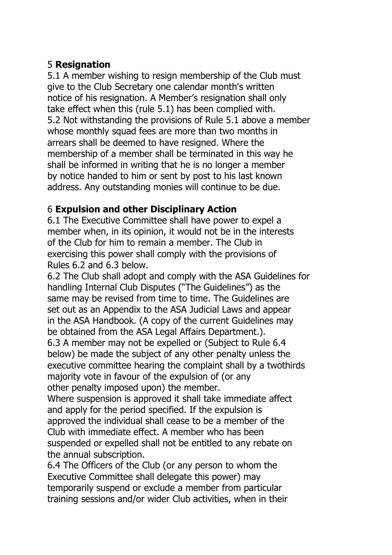# 5 **Resignation**

5.1 A member wishing to resign membership of the Club must give to the Club Secretary one calendar month's written notice of his resignation. A Member's resignation shall only take effect when this (rule 5.1) has been complied with. 5.2 Not withstanding the provisions of Rule 5.1 above a member whose monthly squad fees are more than two months in arrears shall be deemed to have resigned. Where the membership of a member shall be terminated in this way he shall be informed in writing that he is no longer a member by notice handed to him or sent by post to his last known address. Any outstanding monies will continue to be due.

# 6 **Expulsion and other Disciplinary Action**

6.1 The Executive Committee shall have power to expel a member when, in its opinion, it would not be in the interests of the Club for him to remain a member. The Club in exercising this power shall comply with the provisions of Rules 6.2 and 6.3 below.

6.2 The Club shall adopt and comply with the ASA Guidelines for handling Internal Club Disputes ("The Guidelines") as the same may be revised from time to time. The Guidelines are set out as an Appendix to the ASA Judicial Laws and appear in the ASA Handbook. (A copy of the current Guidelines may be obtained from the ASA Legal Affairs Department.). 6.3 A member may not be expelled or (Subject to Rule 6.4 below) be made the subject of any other penalty unless the executive committee hearing the complaint shall by a twothirds majority vote in favour of the expulsion of (or any other penalty imposed upon) the member.

Where suspension is approved it shall take immediate affect and apply for the period specified. If the expulsion is approved the individual shall cease to be a member of the Club with immediate effect. A member who has been suspended or expelled shall not be entitled to any rebate on the annual subscription.

6.4 The Officers of the Club (or any person to whom the Executive Committee shall delegate this power) may temporarily suspend or exclude a member from particular training sessions and/or wider Club activities, when in their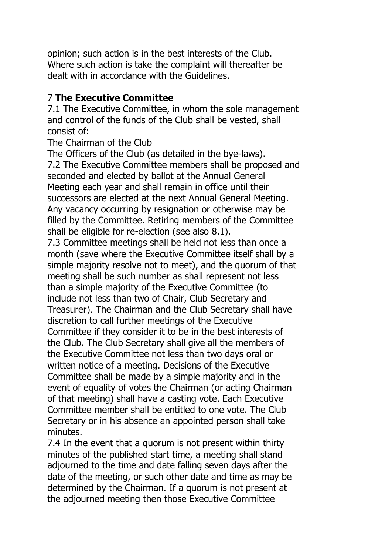opinion; such action is in the best interests of the Club. Where such action is take the complaint will thereafter be dealt with in accordance with the Guidelines.

## 7 **The Executive Committee**

7.1 The Executive Committee, in whom the sole management and control of the funds of the Club shall be vested, shall consist of:

The Chairman of the Club

The Officers of the Club (as detailed in the bye-laws). 7.2 The Executive Committee members shall be proposed and seconded and elected by ballot at the Annual General Meeting each year and shall remain in office until their successors are elected at the next Annual General Meeting. Any vacancy occurring by resignation or otherwise may be filled by the Committee. Retiring members of the Committee shall be eligible for re-election (see also 8.1).

7.3 Committee meetings shall be held not less than once a month (save where the Executive Committee itself shall by a simple majority resolve not to meet), and the quorum of that meeting shall be such number as shall represent not less than a simple majority of the Executive Committee (to include not less than two of Chair, Club Secretary and Treasurer). The Chairman and the Club Secretary shall have discretion to call further meetings of the Executive Committee if they consider it to be in the best interests of the Club. The Club Secretary shall give all the members of the Executive Committee not less than two days oral or written notice of a meeting. Decisions of the Executive Committee shall be made by a simple majority and in the event of equality of votes the Chairman (or acting Chairman of that meeting) shall have a casting vote. Each Executive Committee member shall be entitled to one vote. The Club Secretary or in his absence an appointed person shall take minutes.

7.4 In the event that a quorum is not present within thirty minutes of the published start time, a meeting shall stand adjourned to the time and date falling seven days after the date of the meeting, or such other date and time as may be determined by the Chairman. If a quorum is not present at the adjourned meeting then those Executive Committee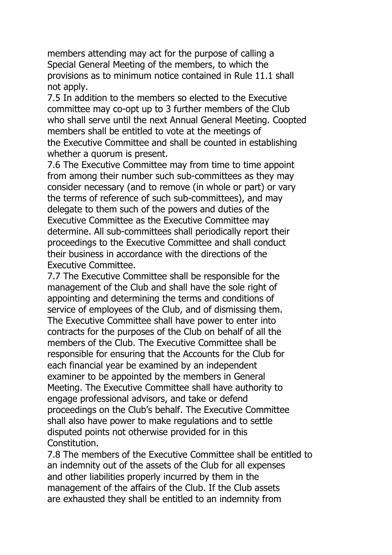members attending may act for the purpose of calling a Special General Meeting of the members, to which the provisions as to minimum notice contained in Rule 11.1 shall not apply.

7.5 In addition to the members so elected to the Executive committee may co-opt up to 3 further members of the Club who shall serve until the next Annual General Meeting. Coopted members shall be entitled to vote at the meetings of the Executive Committee and shall be counted in establishing whether a quorum is present.

7.6 The Executive Committee may from time to time appoint from among their number such sub-committees as they may consider necessary (and to remove (in whole or part) or vary the terms of reference of such sub-committees), and may delegate to them such of the powers and duties of the Executive Committee as the Executive Committee may determine. All sub-committees shall periodically report their proceedings to the Executive Committee and shall conduct their business in accordance with the directions of the Executive Committee.

7.7 The Executive Committee shall be responsible for the management of the Club and shall have the sole right of appointing and determining the terms and conditions of service of employees of the Club, and of dismissing them. The Executive Committee shall have power to enter into contracts for the purposes of the Club on behalf of all the members of the Club. The Executive Committee shall be responsible for ensuring that the Accounts for the Club for each financial year be examined by an independent examiner to be appointed by the members in General Meeting. The Executive Committee shall have authority to engage professional advisors, and take or defend proceedings on the Club's behalf. The Executive Committee shall also have power to make regulations and to settle disputed points not otherwise provided for in this Constitution.

7.8 The members of the Executive Committee shall be entitled to an indemnity out of the assets of the Club for all expenses and other liabilities properly incurred by them in the management of the affairs of the Club. If the Club assets are exhausted they shall be entitled to an indemnity from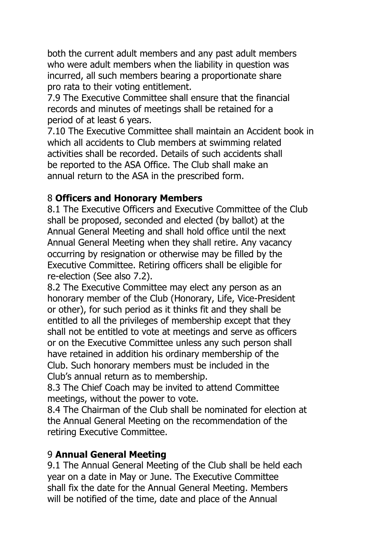both the current adult members and any past adult members who were adult members when the liability in question was incurred, all such members bearing a proportionate share pro rata to their voting entitlement.

7.9 The Executive Committee shall ensure that the financial records and minutes of meetings shall be retained for a period of at least 6 years.

7.10 The Executive Committee shall maintain an Accident book in which all accidents to Club members at swimming related activities shall be recorded. Details of such accidents shall be reported to the ASA Office. The Club shall make an annual return to the ASA in the prescribed form.

## 8 **Officers and Honorary Members**

8.1 The Executive Officers and Executive Committee of the Club shall be proposed, seconded and elected (by ballot) at the Annual General Meeting and shall hold office until the next Annual General Meeting when they shall retire. Any vacancy occurring by resignation or otherwise may be filled by the Executive Committee. Retiring officers shall be eligible for re-election (See also 7.2).

8.2 The Executive Committee may elect any person as an honorary member of the Club (Honorary, Life, Vice-President or other), for such period as it thinks fit and they shall be entitled to all the privileges of membership except that they shall not be entitled to vote at meetings and serve as officers or on the Executive Committee unless any such person shall have retained in addition his ordinary membership of the Club. Such honorary members must be included in the Club's annual return as to membership.

8.3 The Chief Coach may be invited to attend Committee meetings, without the power to vote.

8.4 The Chairman of the Club shall be nominated for election at the Annual General Meeting on the recommendation of the retiring Executive Committee.

# 9 **Annual General Meeting**

9.1 The Annual General Meeting of the Club shall be held each year on a date in May or June. The Executive Committee shall fix the date for the Annual General Meeting. Members will be notified of the time, date and place of the Annual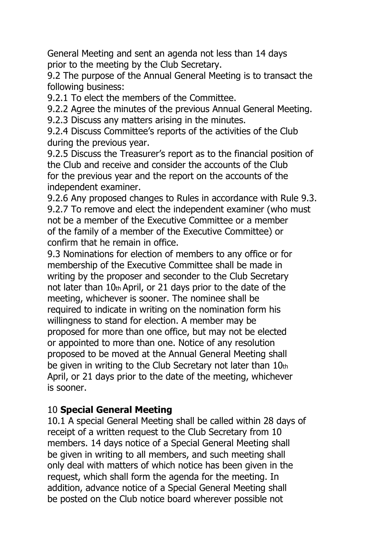General Meeting and sent an agenda not less than 14 days prior to the meeting by the Club Secretary.

9.2 The purpose of the Annual General Meeting is to transact the following business:

9.2.1 To elect the members of the Committee.

9.2.2 Agree the minutes of the previous Annual General Meeting.

9.2.3 Discuss any matters arising in the minutes.

9.2.4 Discuss Committee's reports of the activities of the Club during the previous year.

9.2.5 Discuss the Treasurer's report as to the financial position of the Club and receive and consider the accounts of the Club for the previous year and the report on the accounts of the independent examiner.

9.2.6 Any proposed changes to Rules in accordance with Rule 9.3. 9.2.7 To remove and elect the independent examiner (who must not be a member of the Executive Committee or a member of the family of a member of the Executive Committee) or confirm that he remain in office.

9.3 Nominations for election of members to any office or for membership of the Executive Committee shall be made in writing by the proposer and seconder to the Club Secretary not later than 10th April, or 21 days prior to the date of the meeting, whichever is sooner. The nominee shall be required to indicate in writing on the nomination form his willingness to stand for election. A member may be proposed for more than one office, but may not be elected or appointed to more than one. Notice of any resolution proposed to be moved at the Annual General Meeting shall be given in writing to the Club Secretary not later than 10th April, or 21 days prior to the date of the meeting, whichever is sooner.

# 10 **Special General Meeting**

10.1 A special General Meeting shall be called within 28 days of receipt of a written request to the Club Secretary from 10 members. 14 days notice of a Special General Meeting shall be given in writing to all members, and such meeting shall only deal with matters of which notice has been given in the request, which shall form the agenda for the meeting. In addition, advance notice of a Special General Meeting shall be posted on the Club notice board wherever possible not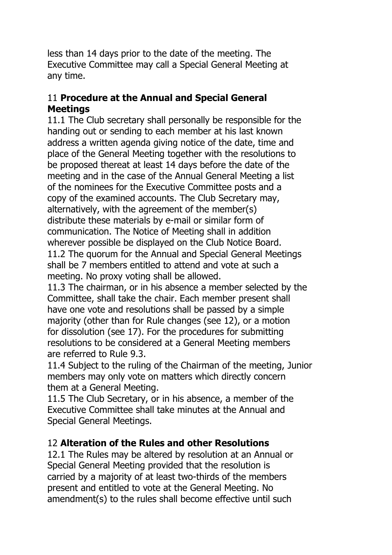less than 14 days prior to the date of the meeting. The Executive Committee may call a Special General Meeting at any time.

## 11 **Procedure at the Annual and Special General Meetings**

11.1 The Club secretary shall personally be responsible for the handing out or sending to each member at his last known address a written agenda giving notice of the date, time and place of the General Meeting together with the resolutions to be proposed thereat at least 14 days before the date of the meeting and in the case of the Annual General Meeting a list of the nominees for the Executive Committee posts and a copy of the examined accounts. The Club Secretary may, alternatively, with the agreement of the member(s) distribute these materials by e-mail or similar form of communication. The Notice of Meeting shall in addition wherever possible be displayed on the Club Notice Board. 11.2 The quorum for the Annual and Special General Meetings shall be 7 members entitled to attend and vote at such a meeting. No proxy voting shall be allowed.

11.3 The chairman, or in his absence a member selected by the Committee, shall take the chair. Each member present shall have one vote and resolutions shall be passed by a simple majority (other than for Rule changes (see 12), or a motion for dissolution (see 17). For the procedures for submitting resolutions to be considered at a General Meeting members are referred to Rule 9.3.

11.4 Subject to the ruling of the Chairman of the meeting, Junior members may only vote on matters which directly concern them at a General Meeting.

11.5 The Club Secretary, or in his absence, a member of the Executive Committee shall take minutes at the Annual and Special General Meetings.

# 12 **Alteration of the Rules and other Resolutions**

12.1 The Rules may be altered by resolution at an Annual or Special General Meeting provided that the resolution is carried by a majority of at least two-thirds of the members present and entitled to vote at the General Meeting. No amendment(s) to the rules shall become effective until such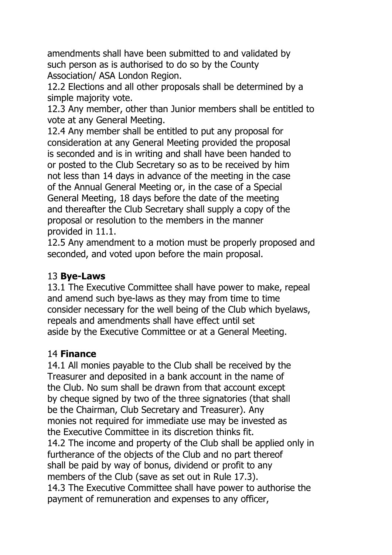amendments shall have been submitted to and validated by such person as is authorised to do so by the County Association/ ASA London Region.

12.2 Elections and all other proposals shall be determined by a simple majority vote.

12.3 Any member, other than Junior members shall be entitled to vote at any General Meeting.

12.4 Any member shall be entitled to put any proposal for consideration at any General Meeting provided the proposal is seconded and is in writing and shall have been handed to or posted to the Club Secretary so as to be received by him not less than 14 days in advance of the meeting in the case of the Annual General Meeting or, in the case of a Special General Meeting, 18 days before the date of the meeting and thereafter the Club Secretary shall supply a copy of the proposal or resolution to the members in the manner provided in 11.1.

12.5 Any amendment to a motion must be properly proposed and seconded, and voted upon before the main proposal.

## 13 **Bye-Laws**

13.1 The Executive Committee shall have power to make, repeal and amend such bye-laws as they may from time to time consider necessary for the well being of the Club which byelaws, repeals and amendments shall have effect until set aside by the Executive Committee or at a General Meeting.

#### 14 **Finance**

14.1 All monies payable to the Club shall be received by the Treasurer and deposited in a bank account in the name of the Club. No sum shall be drawn from that account except by cheque signed by two of the three signatories (that shall be the Chairman, Club Secretary and Treasurer). Any monies not required for immediate use may be invested as the Executive Committee in its discretion thinks fit. 14.2 The income and property of the Club shall be applied only in furtherance of the objects of the Club and no part thereof shall be paid by way of bonus, dividend or profit to any members of the Club (save as set out in Rule 17.3). 14.3 The Executive Committee shall have power to authorise the payment of remuneration and expenses to any officer,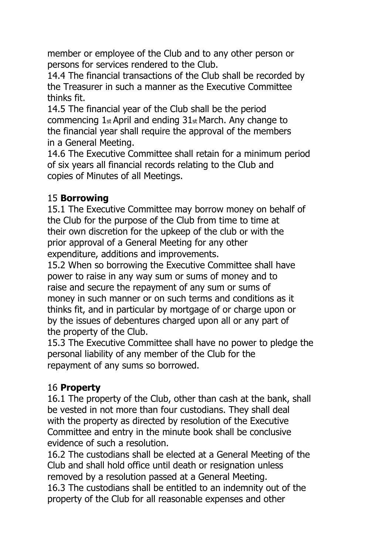member or employee of the Club and to any other person or persons for services rendered to the Club.

14.4 The financial transactions of the Club shall be recorded by the Treasurer in such a manner as the Executive Committee thinks fit.

14.5 The financial year of the Club shall be the period commencing 1st April and ending 31st March. Any change to the financial year shall require the approval of the members in a General Meeting.

14.6 The Executive Committee shall retain for a minimum period of six years all financial records relating to the Club and copies of Minutes of all Meetings.

## 15 **Borrowing**

15.1 The Executive Committee may borrow money on behalf of the Club for the purpose of the Club from time to time at their own discretion for the upkeep of the club or with the prior approval of a General Meeting for any other expenditure, additions and improvements.

15.2 When so borrowing the Executive Committee shall have power to raise in any way sum or sums of money and to raise and secure the repayment of any sum or sums of money in such manner or on such terms and conditions as it thinks fit, and in particular by mortgage of or charge upon or by the issues of debentures charged upon all or any part of the property of the Club.

15.3 The Executive Committee shall have no power to pledge the personal liability of any member of the Club for the repayment of any sums so borrowed.

# 16 **Property**

16.1 The property of the Club, other than cash at the bank, shall be vested in not more than four custodians. They shall deal with the property as directed by resolution of the Executive Committee and entry in the minute book shall be conclusive evidence of such a resolution.

16.2 The custodians shall be elected at a General Meeting of the Club and shall hold office until death or resignation unless removed by a resolution passed at a General Meeting. 16.3 The custodians shall be entitled to an indemnity out of the property of the Club for all reasonable expenses and other